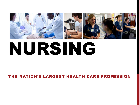

# NURSING

#### THE NATION'S LARGEST HEALTH CARE PROFESSION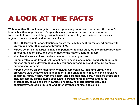#### A LOOK AT THE FACTS

**With more than 3.1 million registered nurses practicing nationwide, nursing is the nation's largest health care profession. Despite this, many more nurses are needed into the foreseeable future to meet the growing demand for care. As you consider a career as a registered nurse, you should know these facts:**

- **The U.S. Bureau of Labor Statistics projects that employment for registered nurses will grow much faster than average through 2024.**
- **Nurses comprise the largest single component of hospital staff, are the primary providers of hospital patient care, and deliver most of the nation's long-term care.**
- **Most health care services involve some form of care by nurses.**
- **Nursing roles range from direct patient care to case management, establishing nursing practice standards, developing quality assurance procedures, and directing complex nursing care systems.**
- **Nursing delivers an extended array of health care services, including primary and preventive care by advanced, independent nurse practitioners in such clinical areas as pediatrics, family health, women's health, and gerontological care. Nursing's scope also includes care by clinical nurse specialists, certified nurse-midwives and nurse anesthetists, as well as care in cardiac, oncology, neonatal, neurological, and obstetric/gynecological nursing and other advanced clinical specialties.**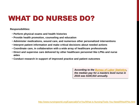# WHAT DO NURSES DO?

**Responsibilities:**

- **Perform physical exams and health histories**
- **Provide health promotion, counseling and education**
- **Administer medications, wound care, and numerous other personalized interventions**
- **Interpret patient information and make critical decisions about needed actions**
- **Coordinate care, in collaboration with a wide array of healthcare professionals**
- **Direct and supervise care delivered by other healthcare personnel like LPNs and nurse aides**
- **Conduct research in support of improved practice and patient outcomes**

*According to the [Bureau of Labor Statistics,](https://www.bls.gov/oes/current/oes291171.htm) the median pay for a masters level nurse in 2016 was \$100,910 annually.*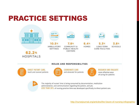# PRACTICE SETTINGS



<http://nursejournal.org/articles/the-future-of-nursing-infographic/>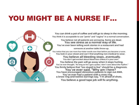#### YOU MIGHT BE A NURSE IF…

You can drink a pot of coffee and still go to sleep in the morning. You think it is acceptable to use "penis" and "vagina" in a normal conversation.

You believe not all patients are annoying. Some are dead. You see stress as a normal way of life. You've ever been telling work stories in a restaurant and had

someone at another table throw-up.

You notice that you use more four-letter words now than before you became a nurse. You look in your closet and can't find anything non-medical to wear.

You believe all bleeding stops...eventually. You don't get excited about blood loss unless it's your own. You believe the pain will go away when it stops hurting. You've ever thought, "As long as he's got a pulse, I don't care about the rhythm." You firmly believe that "too stupid to live" should be a diagnosis. You've ever said, "Why am I here?<br>You have encouraged obnoxious patients to sign out AMA. You've ever had a patient with a nose ring,<br>a brow ring and twelve earrings say, "I'm afraid of shots. You believe a good tape job will fix anything.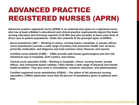# ADVANCED PRACTICE REGISTERED NURSES (APRN)

**Advanced practice registered nurse (APRN) is an umbrella term given to a registered nurse who has at least a Master's educational and clinical practice requirements beyond the basic nursing education and licensing required of all RNs and who provides at least some level of direct care to patient populations. Under this umbrella fit the principal types of APRNs:**

**Nurse practitioner (NP) – Working in clinics, nursing homes, hospitals, or private offices, nurse practitioners provide a wide range of primary and preventive health care services, prescribe medication, and diagnose and treat common minor illnesses and injuries.**

**Certified nurse-midwife (CNM) – CNMs provide well-woman gynecological and low-risk obstetrical care in hospitals, birth centers, and homes.**

**Clinical nurse specialist (CNS) – Working in hospitals, clinics, nursing homes, private offices, and community-based settings, CNSs handle a wide range of physical and mental health problems. They also work in consultation, research, education, and administration.**

**Certified registered nurse anesthetists (CRNA) – The oldest of the advanced nursing specialties, CRNAs administer more than 65 percent of anesthetics given to patients each year.**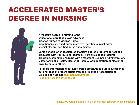#### ACCELERATED MASTER'S DEGREE IN NURSING

**A master's degree in nursing is the educational core that allows advanced practice nurses to work as nurse practitioners, certified nurse midwives, certified clinical nurse specialists, and certified nurse anesthetists.**

**Some schools offer accelerated master's degree programs for college graduates with non-nursing degrees. There are also joint degree programs, combining Nursing with a Master of Business Administration, Master of Public Health, Master of Hospital Administration or Master of Divinity, among others.**

**For more information about accelerated programs to pursue a career in nursing, read the recent article from the American Association of Colleges of Nursing: [aacn.nche.edu/media](http://www.aacn.nche.edu/media-relations/AccelProgsGlance.pdf)[relations/AccelProgsGlance.pdf.](http://www.aacn.nche.edu/media-relations/AccelProgsGlance.pdf)**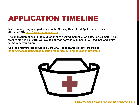# APPLICATION TIMELINE

**Most nursing programs participate in the Nursing Centralized Application Service (NursingCAS): [http://www.nursingcas.org](http://www.nursingcas.org/)**

**The application opens in the August prior to desired matriculation date. For example, if you want to start in Fall 2018, you would apply as early as Summer 2017. Deadlines and entry terms vary by program.**

**Use the programs list provided by the AACN to research specific programs: <http://www.aacn.nche.edu/education-resources/nursing-education-programs>**

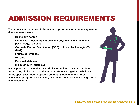## ADMISSION REQUIREMENTS

**The admission requirements for master's programs in nursing vary a great deal and may include:** 

- **Bachelor's degree**
- **Coursework including anatomy and physiology, microbiology, psychology, statistics**
- **Graduate Record Examination (GRE) or the Miller Analogies Test (MAT)**
- **Letters of reference**
- **Resume**
- **Personal statement**
- **Minimum GPA (often 3.0)**

**It is important to remember that admission officers look at a student's transcripts, clinical work, and letters of reference together holistically. Some specialties require specific courses. Students in the nurse anesthetist program, for instance, must have an upper-level college course in biochemistry.**

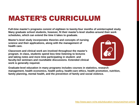#### MASTER'S CURRICULUM

**Full-time master's programs consist of eighteen to twenty-four months of uninterrupted study. Many graduate school students, however, fit their master's-level studies around their work schedules, which can extend the time it takes to graduate.**

**Master's-level study incorporates theories and concepts of nursing science and their applications, along with the management of health care.**

**Classroom and clinical work are involved throughout the master's program. In class, students spend less time listening to lectures and taking notes and more time participating in student- and faculty-led seminars and roundtable discussions. Extended clinical work is generally required.**



**Graduate-level education in many programs includes courses in statistics, research management, health economics, health policy, health-care ethics, health promotion, nutrition, family planning, mental health, and the prevention of family and social violence.**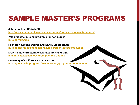# SAMPLE MASTER'S PROGRAMS

**CONTRACTOR** 

**Johns Hopkins BS to MSN** 

**<http://nursing.jhu.edu/academics/programs/pre-licensure/masters-entry/>** 

**Yale graduate nursing programs for non-nurses [nursing.yale.edu/](http://nursing.yale.edu/)**

**Penn BSN Second Degree and BSN/MSN programs [nursing.upenn.edu/admissions/accelerated/Pages/default.aspx](http://www.nursing.upenn.edu/admissions/accelerated/Pages/default.aspx)**

**MGH Institute (Boston) Accelerated BSN and MSN [mghihp.edu/academics/nursing/degree-options/](http://www.mghihp.edu/academics/nursing/degree-options/)**

**University of California San Francisco [nursing.ucsf.edu/programs/masters-entry-program-nursing-mepn](http://nursing.ucsf.edu/programs/masters-entry-program-nursing-mepn)**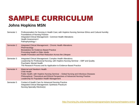# SAMPLE CURRICULUM

#### **Johns Hopkins MSN**

| Semester 1 | Professionalism for Nursing in Health Care; with Hopkins Nursing Seminar-Ethics and Cultural Humility<br><b>Foundations of Nursing Practice</b><br>Integrated Clinical Management: Common Health Alterations<br>Health Assessment I<br>Pathophysiology I                             |
|------------|--------------------------------------------------------------------------------------------------------------------------------------------------------------------------------------------------------------------------------------------------------------------------------------|
| Semester 2 | Integrated Clinical Management: Chronic Health Alterations<br>Pharmacology<br><b>Biostatistics for Evidence-Based Practice</b><br><b>Promoting Health in Older Adults</b><br>Health Promotion and Risk Reduction Across the Lifespan                                                 |
| Semester 3 | Integrated Clinical Management: Complex Health Alterations<br>Leadership for Professional Nursing; with Hopkins Nursing Seminar - EBP and Quality<br>Psychiatric Mental Health<br>The Research Process and its Application to Evidence-Based Practice                                |
| Semester 4 | <b>Maternal and Newborn Health</b><br><b>Child Health</b><br>Public Health; with Hopkins Nursing Seminar – Global Nursing and Infectious Diseases<br>Philosophical, Theoretical and Ethical Perspectives of Advanced Nursing Practice<br>Leadership for Population Health Management |
| Semester 5 | Context of Health Care for Advanced Nursing Practice<br>Integrated Clinical Management: Synthesis Practicum<br>Nursing Specialty Elective(s)                                                                                                                                         |